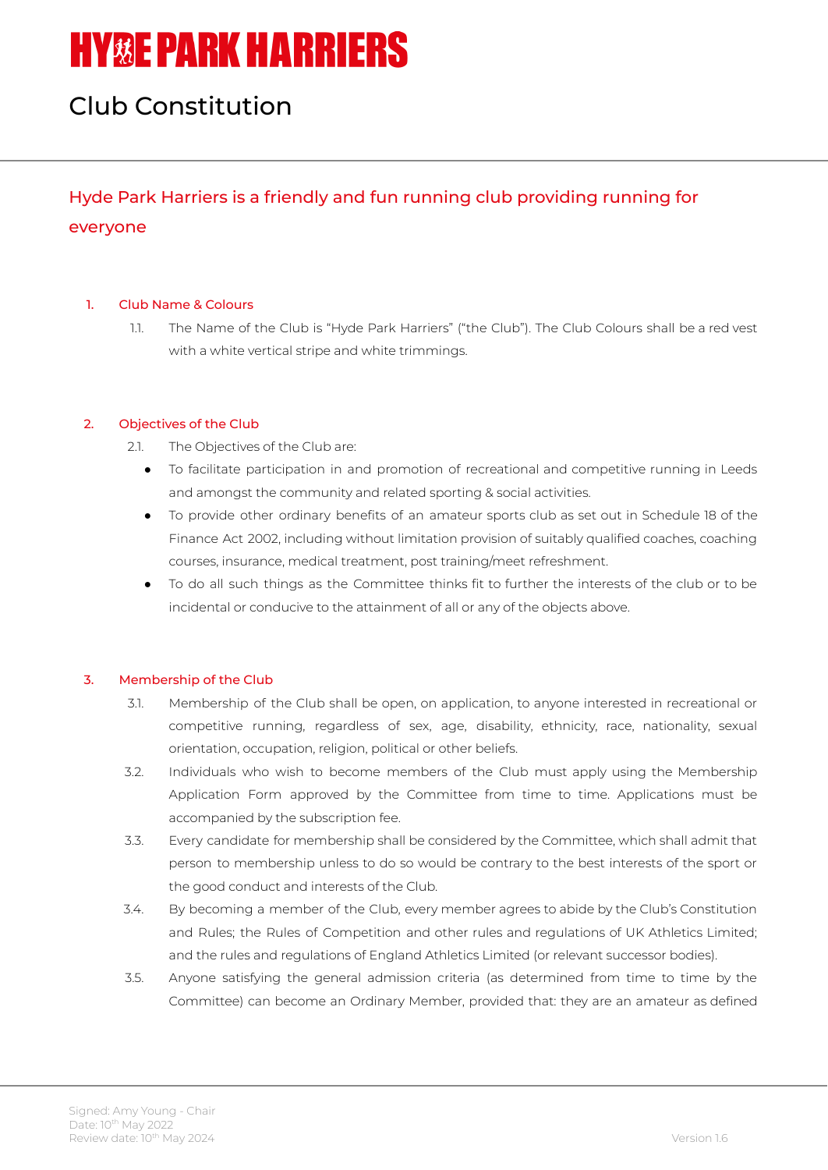# **HY&E PARK HARRIERS**

## Club Constitution

### Hyde Park Harriers is a friendly and fun running club providing running for everyone

#### 1. Club Name & Colours

1.1. The Name of the Club is "Hyde Park Harriers" ("the Club"). The Club Colours shall be a red vest with a white vertical stripe and white trimmings.

#### 2. Objectives of the Club

- 2.1. The Objectives of the Club are:
	- To facilitate participation in and promotion of recreational and competitive running in Leeds and amongst the community and related sporting & social activities.
	- To provide other ordinary benefits of an amateur sports club as set out in Schedule 18 of the Finance Act 2002, including without limitation provision of suitably qualified coaches, coaching courses, insurance, medical treatment, post training/meet refreshment.
	- To do all such things as the Committee thinks fit to further the interests of the club or to be incidental or conducive to the attainment of all or any of the objects above.

#### 3. Membership of the Club

- 3.1. Membership of the Club shall be open, on application, to anyone interested in recreational or competitive running, regardless of sex, age, disability, ethnicity, race, nationality, sexual orientation, occupation, religion, political or other beliefs.
- 3.2. Individuals who wish to become members of the Club must apply using the Membership Application Form approved by the Committee from time to time. Applications must be accompanied by the subscription fee.
- 3.3. Every candidate for membership shall be considered by the Committee, which shall admit that person to membership unless to do so would be contrary to the best interests of the sport or the good conduct and interests of the Club.
- 3.4. By becoming a member of the Club, every member agrees to abide by the Club's Constitution and Rules; the Rules of Competition and other rules and regulations of UK Athletics Limited; and the rules and regulations of England Athletics Limited (or relevant successor bodies).
- 3.5. Anyone satisfying the general admission criteria (as determined from time to time by the Committee) can become an Ordinary Member, provided that: they are an amateur as defined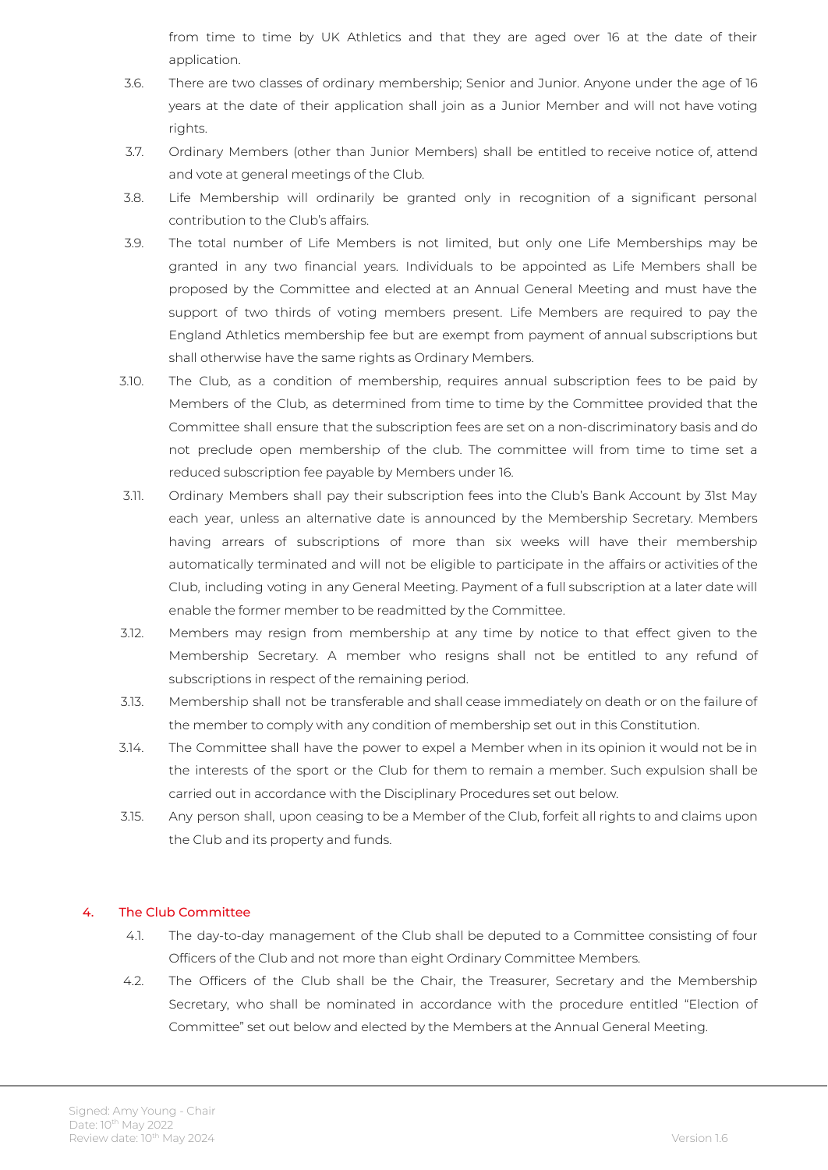from time to time by UK Athletics and that they are aged over 16 at the date of their application.

- 3.6. There are two classes of ordinary membership; Senior and Junior. Anyone under the age of 16 years at the date of their application shall join as a Junior Member and will not have voting rights.
- 3.7. Ordinary Members (other than Junior Members) shall be entitled to receive notice of, attend and vote at general meetings of the Club.
- 3.8. Life Membership will ordinarily be granted only in recognition of a significant personal contribution to the Club's affairs.
- 3.9. The total number of Life Members is not limited, but only one Life Memberships may be granted in any two financial years. Individuals to be appointed as Life Members shall be proposed by the Committee and elected at an Annual General Meeting and must have the support of two thirds of voting members present. Life Members are required to pay the England Athletics membership fee but are exempt from payment of annual subscriptions but shall otherwise have the same rights as Ordinary Members.
- 3.10. The Club, as a condition of membership, requires annual subscription fees to be paid by Members of the Club, as determined from time to time by the Committee provided that the Committee shall ensure that the subscription fees are set on a non-discriminatory basis and do not preclude open membership of the club. The committee will from time to time set a reduced subscription fee payable by Members under 16.
- 3.11. Ordinary Members shall pay their subscription fees into the Club's Bank Account by 31st May each year, unless an alternative date is announced by the Membership Secretary. Members having arrears of subscriptions of more than six weeks will have their membership automatically terminated and will not be eligible to participate in the affairs or activities of the Club, including voting in any General Meeting. Payment of a full subscription at a later date will enable the former member to be readmitted by the Committee.
- 3.12. Members may resign from membership at any time by notice to that effect given to the Membership Secretary. A member who resigns shall not be entitled to any refund of subscriptions in respect of the remaining period.
- 3.13. Membership shall not be transferable and shall cease immediately on death or on the failure of the member to comply with any condition of membership set out in this Constitution.
- 3.14. The Committee shall have the power to expel a Member when in its opinion it would not be in the interests of the sport or the Club for them to remain a member. Such expulsion shall be carried out in accordance with the Disciplinary Procedures set out below.
- 3.15. Any person shall, upon ceasing to be a Member of the Club, forfeit all rights to and claims upon the Club and its property and funds.

#### 4. The Club Committee

- 4.1. The day-to-day management of the Club shall be deputed to a Committee consisting of four Officers of the Club and not more than eight Ordinary Committee Members.
- 4.2. The Officers of the Club shall be the Chair, the Treasurer, Secretary and the Membership Secretary, who shall be nominated in accordance with the procedure entitled "Election of Committee" set out below and elected by the Members at the Annual General Meeting.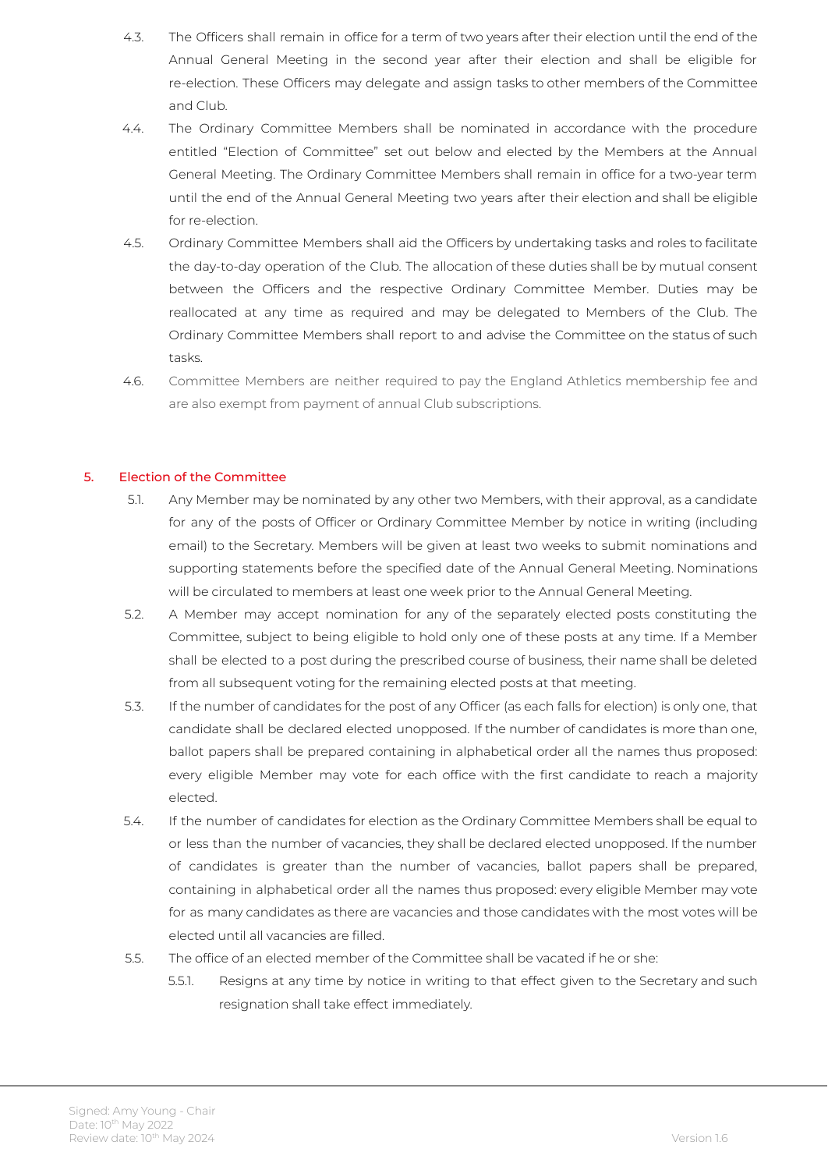- 4.3. The Officers shall remain in office for a term of two years after their election until the end of the Annual General Meeting in the second year after their election and shall be eligible for re-election. These Officers may delegate and assign tasks to other members of the Committee and Club.
- 4.4. The Ordinary Committee Members shall be nominated in accordance with the procedure entitled "Election of Committee" set out below and elected by the Members at the Annual General Meeting. The Ordinary Committee Members shall remain in office for a two-year term until the end of the Annual General Meeting two years after their election and shall be eligible for re-election.
- 4.5. Ordinary Committee Members shall aid the Officers by undertaking tasks and roles to facilitate the day-to-day operation of the Club. The allocation of these duties shall be by mutual consent between the Officers and the respective Ordinary Committee Member. Duties may be reallocated at any time as required and may be delegated to Members of the Club. The Ordinary Committee Members shall report to and advise the Committee on the status of such tasks.
- 4.6. Committee Members are neither required to pay the England Athletics membership fee and are also exempt from payment of annual Club subscriptions.

#### 5. Election of the Committee

- 5.1. Any Member may be nominated by any other two Members, with their approval, as a candidate for any of the posts of Officer or Ordinary Committee Member by notice in writing (including email) to the Secretary. Members will be given at least two weeks to submit nominations and supporting statements before the specified date of the Annual General Meeting. Nominations will be circulated to members at least one week prior to the Annual General Meeting.
- 5.2. A Member may accept nomination for any of the separately elected posts constituting the Committee, subject to being eligible to hold only one of these posts at any time. If a Member shall be elected to a post during the prescribed course of business, their name shall be deleted from all subsequent voting for the remaining elected posts at that meeting.
- 5.3. If the number of candidates for the post of any Officer (as each falls for election) is only one, that candidate shall be declared elected unopposed. If the number of candidates is more than one, ballot papers shall be prepared containing in alphabetical order all the names thus proposed: every eligible Member may vote for each office with the first candidate to reach a majority elected.
- 5.4. If the number of candidates for election as the Ordinary Committee Members shall be equal to or less than the number of vacancies, they shall be declared elected unopposed. If the number of candidates is greater than the number of vacancies, ballot papers shall be prepared, containing in alphabetical order all the names thus proposed: every eligible Member may vote for as many candidates as there are vacancies and those candidates with the most votes will be elected until all vacancies are filled.
- 5.5. The office of an elected member of the Committee shall be vacated if he or she:
	- 5.5.1. Resigns at any time by notice in writing to that effect given to the Secretary and such resignation shall take effect immediately.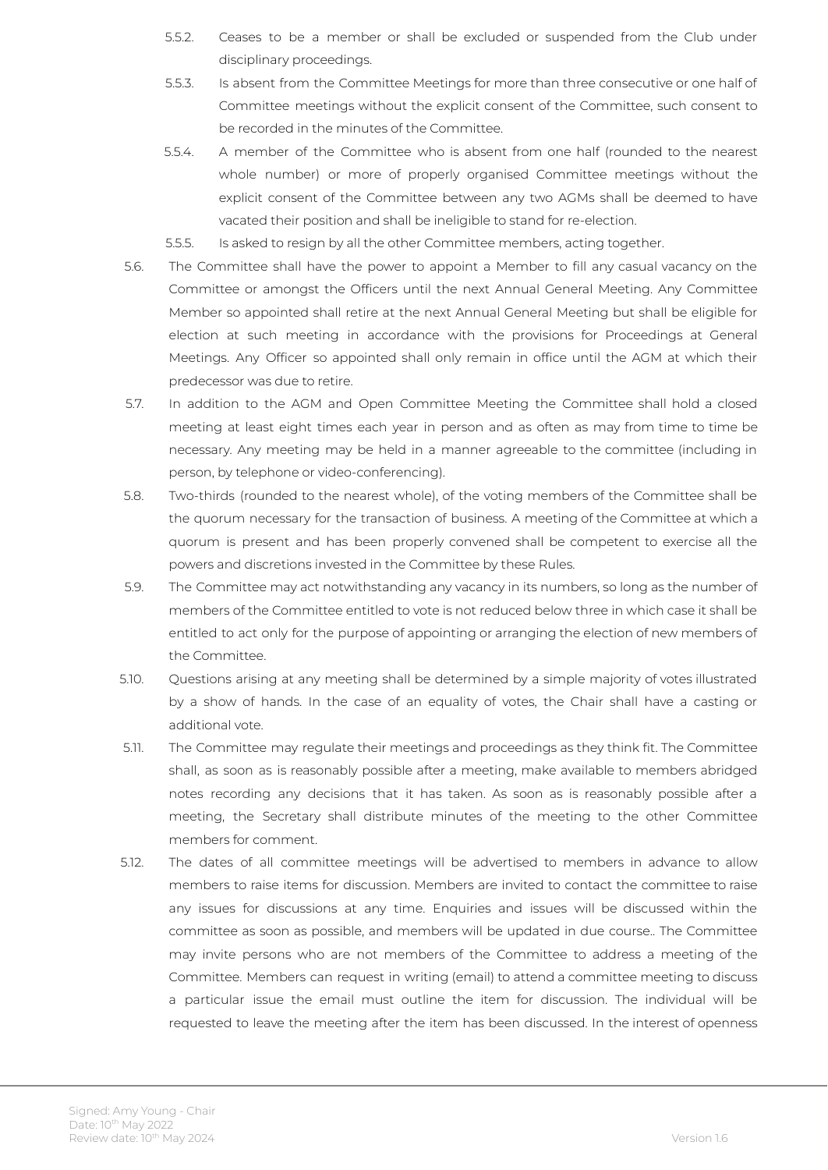- 5.5.2. Ceases to be a member or shall be excluded or suspended from the Club under disciplinary proceedings.
- 5.5.3. Is absent from the Committee Meetings for more than three consecutive or one half of Committee meetings without the explicit consent of the Committee, such consent to be recorded in the minutes of the Committee.
- 5.5.4. A member of the Committee who is absent from one half (rounded to the nearest whole number) or more of properly organised Committee meetings without the explicit consent of the Committee between any two AGMs shall be deemed to have vacated their position and shall be ineligible to stand for re-election.
- 5.5.5. Is asked to resign by all the other Committee members, acting together.
- 5.6. The Committee shall have the power to appoint a Member to fill any casual vacancy on the Committee or amongst the Officers until the next Annual General Meeting. Any Committee Member so appointed shall retire at the next Annual General Meeting but shall be eligible for election at such meeting in accordance with the provisions for Proceedings at General Meetings. Any Officer so appointed shall only remain in office until the AGM at which their predecessor was due to retire.
- 5.7. In addition to the AGM and Open Committee Meeting the Committee shall hold a closed meeting at least eight times each year in person and as often as may from time to time be necessary. Any meeting may be held in a manner agreeable to the committee (including in person, by telephone or video-conferencing).
- 5.8. Two-thirds (rounded to the nearest whole), of the voting members of the Committee shall be the quorum necessary for the transaction of business. A meeting of the Committee at which a quorum is present and has been properly convened shall be competent to exercise all the powers and discretions invested in the Committee by these Rules.
- 5.9. The Committee may act notwithstanding any vacancy in its numbers, so long as the number of members of the Committee entitled to vote is not reduced below three in which case it shall be entitled to act only for the purpose of appointing or arranging the election of new members of the Committee.
- 5.10. Questions arising at any meeting shall be determined by a simple majority of votes illustrated by a show of hands. In the case of an equality of votes, the Chair shall have a casting or additional vote.
- 5.11. The Committee may regulate their meetings and proceedings as they think fit. The Committee shall, as soon as is reasonably possible after a meeting, make available to members abridged notes recording any decisions that it has taken. As soon as is reasonably possible after a meeting, the Secretary shall distribute minutes of the meeting to the other Committee members for comment.
- 5.12. The dates of all committee meetings will be advertised to members in advance to allow members to raise items for discussion. Members are invited to contact the committee to raise any issues for discussions at any time. Enquiries and issues will be discussed within the committee as soon as possible, and members will be updated in due course.. The Committee may invite persons who are not members of the Committee to address a meeting of the Committee. Members can request in writing (email) to attend a committee meeting to discuss a particular issue the email must outline the item for discussion. The individual will be requested to leave the meeting after the item has been discussed. In the interest of openness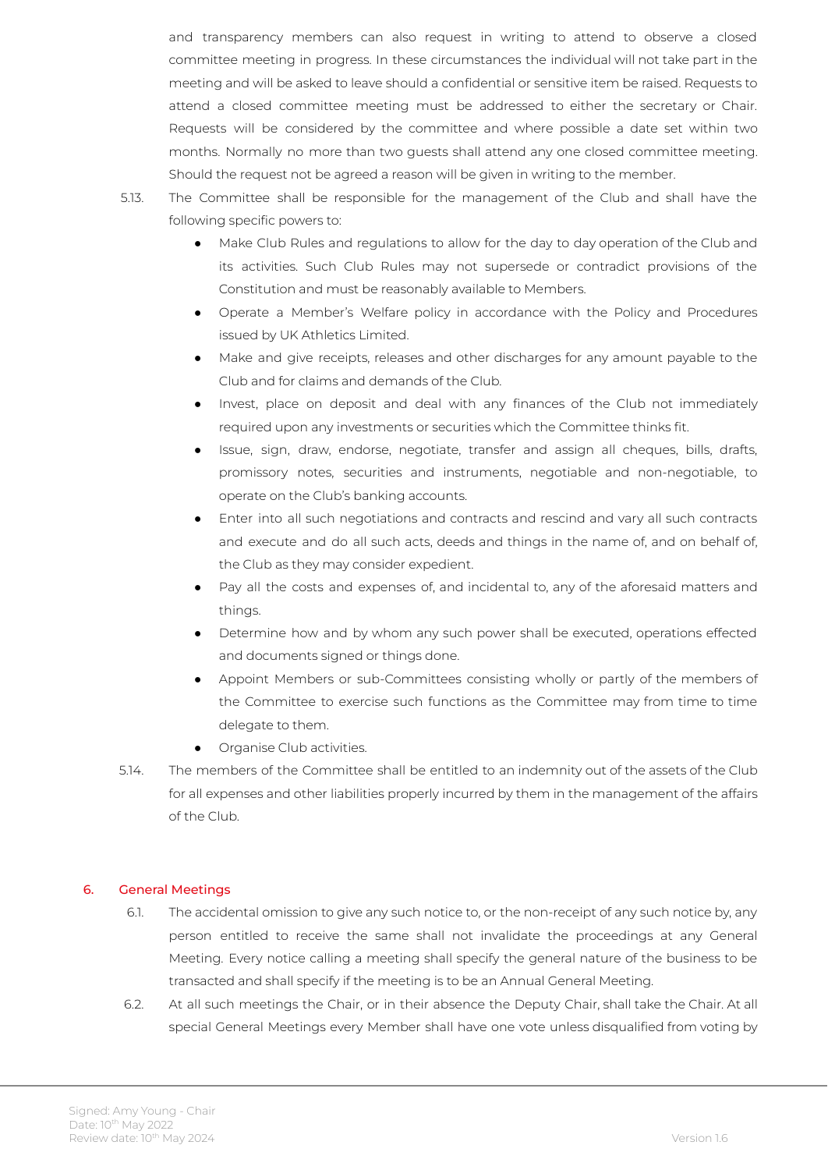and transparency members can also request in writing to attend to observe a closed committee meeting in progress. In these circumstances the individual will not take part in the meeting and will be asked to leave should a confidential or sensitive item be raised. Requests to attend a closed committee meeting must be addressed to either the secretary or Chair. Requests will be considered by the committee and where possible a date set within two months. Normally no more than two guests shall attend any one closed committee meeting. Should the request not be agreed a reason will be given in writing to the member.

- 5.13. The Committee shall be responsible for the management of the Club and shall have the following specific powers to:
	- Make Club Rules and regulations to allow for the day to day operation of the Club and its activities. Such Club Rules may not supersede or contradict provisions of the Constitution and must be reasonably available to Members.
	- Operate a Member's Welfare policy in accordance with the Policy and Procedures issued by UK Athletics Limited.
	- Make and give receipts, releases and other discharges for any amount payable to the Club and for claims and demands of the Club.
	- Invest, place on deposit and deal with any finances of the Club not immediately required upon any investments or securities which the Committee thinks fit.
	- Issue, sign, draw, endorse, negotiate, transfer and assign all cheques, bills, drafts, promissory notes, securities and instruments, negotiable and non-negotiable, to operate on the Club's banking accounts.
	- Enter into all such negotiations and contracts and rescind and vary all such contracts and execute and do all such acts, deeds and things in the name of, and on behalf of, the Club as they may consider expedient.
	- Pay all the costs and expenses of, and incidental to, any of the aforesaid matters and things.
	- Determine how and by whom any such power shall be executed, operations effected and documents signed or things done.
	- Appoint Members or sub-Committees consisting wholly or partly of the members of the Committee to exercise such functions as the Committee may from time to time delegate to them.
	- Organise Club activities.
- 5.14. The members of the Committee shall be entitled to an indemnity out of the assets of the Club for all expenses and other liabilities properly incurred by them in the management of the affairs of the Club.

#### 6. General Meetings

- 6.1. The accidental omission to give any such notice to, or the non-receipt of any such notice by, any person entitled to receive the same shall not invalidate the proceedings at any General Meeting. Every notice calling a meeting shall specify the general nature of the business to be transacted and shall specify if the meeting is to be an Annual General Meeting.
- 6.2. At all such meetings the Chair, or in their absence the Deputy Chair, shall take the Chair. At all special General Meetings every Member shall have one vote unless disqualified from voting by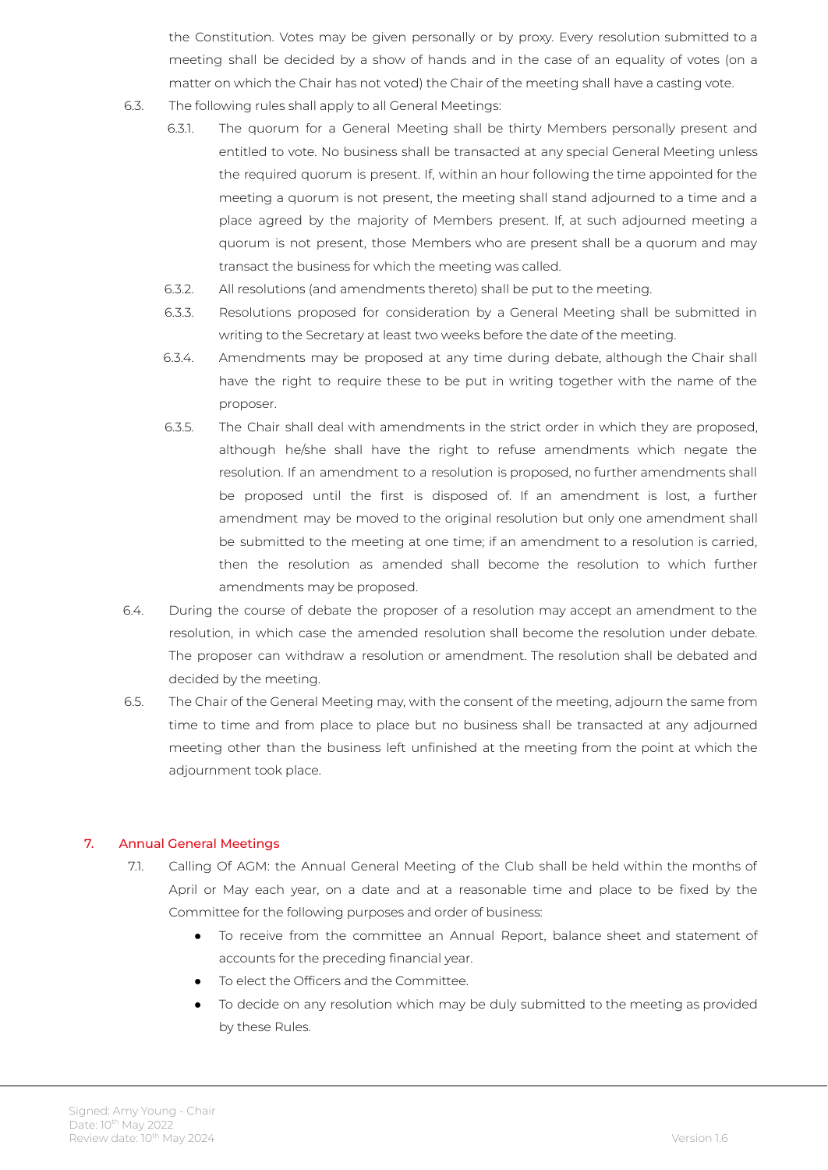the Constitution. Votes may be given personally or by proxy. Every resolution submitted to a meeting shall be decided by a show of hands and in the case of an equality of votes (on a matter on which the Chair has not voted) the Chair of the meeting shall have a casting vote.

- 6.3. The following rules shall apply to all General Meetings:
	- 6.3.1. The quorum for a General Meeting shall be thirty Members personally present and entitled to vote. No business shall be transacted at any special General Meeting unless the required quorum is present. If, within an hour following the time appointed for the meeting a quorum is not present, the meeting shall stand adjourned to a time and a place agreed by the majority of Members present. If, at such adjourned meeting a quorum is not present, those Members who are present shall be a quorum and may transact the business for which the meeting was called.
	- 6.3.2. All resolutions (and amendments thereto) shall be put to the meeting.
	- 6.3.3. Resolutions proposed for consideration by a General Meeting shall be submitted in writing to the Secretary at least two weeks before the date of the meeting.
	- 6.3.4. Amendments may be proposed at any time during debate, although the Chair shall have the right to require these to be put in writing together with the name of the proposer.
	- 6.3.5. The Chair shall deal with amendments in the strict order in which they are proposed, although he/she shall have the right to refuse amendments which negate the resolution. If an amendment to a resolution is proposed, no further amendments shall be proposed until the first is disposed of. If an amendment is lost, a further amendment may be moved to the original resolution but only one amendment shall be submitted to the meeting at one time; if an amendment to a resolution is carried, then the resolution as amended shall become the resolution to which further amendments may be proposed.
- 6.4. During the course of debate the proposer of a resolution may accept an amendment to the resolution, in which case the amended resolution shall become the resolution under debate. The proposer can withdraw a resolution or amendment. The resolution shall be debated and decided by the meeting.
- 6.5. The Chair of the General Meeting may, with the consent of the meeting, adjourn the same from time to time and from place to place but no business shall be transacted at any adjourned meeting other than the business left unfinished at the meeting from the point at which the adjournment took place.

#### 7. Annual General Meetings

- 7.1. Calling Of AGM: the Annual General Meeting of the Club shall be held within the months of April or May each year, on a date and at a reasonable time and place to be fixed by the Committee for the following purposes and order of business:
	- To receive from the committee an Annual Report, balance sheet and statement of accounts for the preceding financial year.
	- To elect the Officers and the Committee.
	- To decide on any resolution which may be duly submitted to the meeting as provided by these Rules.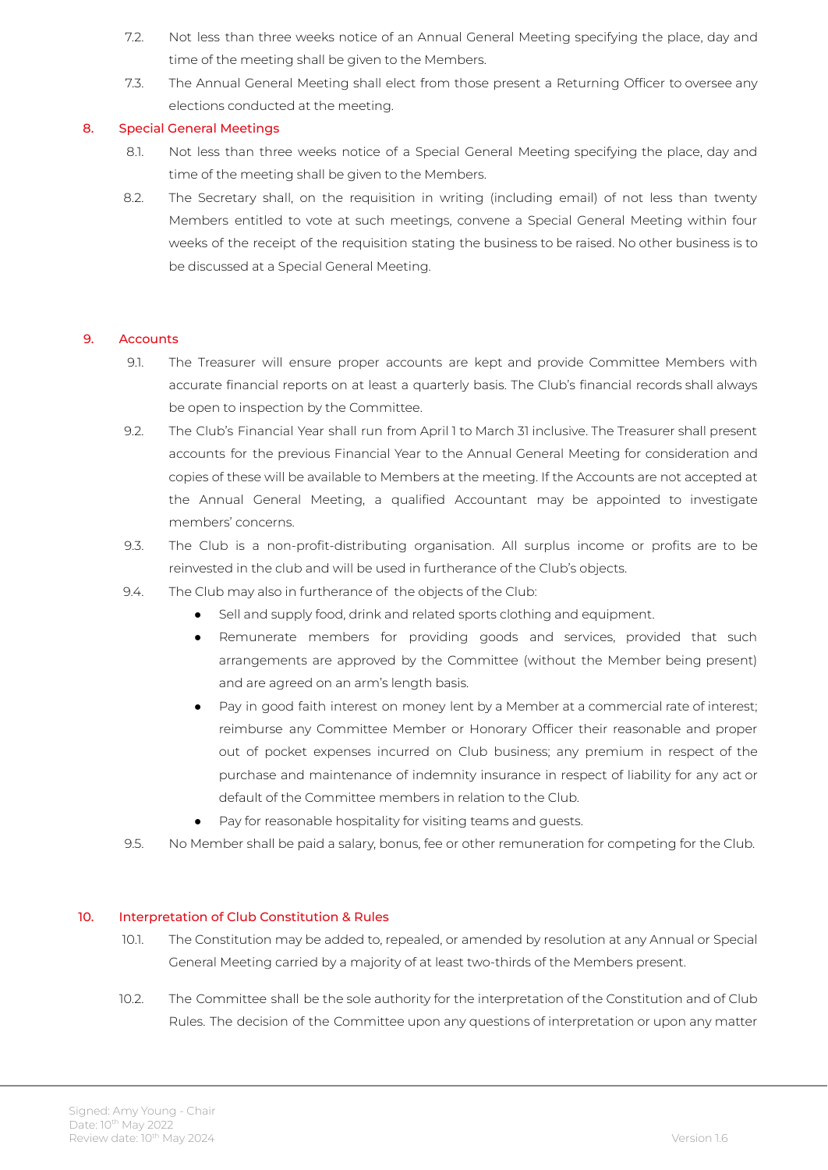- 7.2. Not less than three weeks notice of an Annual General Meeting specifying the place, day and time of the meeting shall be given to the Members.
- 7.3. The Annual General Meeting shall elect from those present a Returning Officer to oversee any elections conducted at the meeting.

#### 8. Special General Meetings

- 8.1. Not less than three weeks notice of a Special General Meeting specifying the place, day and time of the meeting shall be given to the Members.
- 8.2. The Secretary shall, on the requisition in writing (including email) of not less than twenty Members entitled to vote at such meetings, convene a Special General Meeting within four weeks of the receipt of the requisition stating the business to be raised. No other business is to be discussed at a Special General Meeting.

#### 9. Accounts

- 9.1. The Treasurer will ensure proper accounts are kept and provide Committee Members with accurate financial reports on at least a quarterly basis. The Club's financial records shall always be open to inspection by the Committee.
- 9.2. The Club's Financial Year shall run from April 1 to March 31 inclusive. The Treasurer shall present accounts for the previous Financial Year to the Annual General Meeting for consideration and copies of these will be available to Members at the meeting. If the Accounts are not accepted at the Annual General Meeting, a qualified Accountant may be appointed to investigate members' concerns.
- 9.3. The Club is a non-profit-distributing organisation. All surplus income or profits are to be reinvested in the club and will be used in furtherance of the Club's objects.
- 9.4. The Club may also in furtherance of the objects of the Club:
	- Sell and supply food, drink and related sports clothing and equipment.
	- Remunerate members for providing goods and services, provided that such arrangements are approved by the Committee (without the Member being present) and are agreed on an arm's length basis.
	- Pay in good faith interest on money lent by a Member at a commercial rate of interest; reimburse any Committee Member or Honorary Officer their reasonable and proper out of pocket expenses incurred on Club business; any premium in respect of the purchase and maintenance of indemnity insurance in respect of liability for any act or default of the Committee members in relation to the Club.
	- Pay for reasonable hospitality for visiting teams and guests.
- 9.5. No Member shall be paid a salary, bonus, fee or other remuneration for competing for the Club.

#### 10. Interpretation of Club Constitution & Rules

- 10.1. The Constitution may be added to, repealed, or amended by resolution at any Annual or Special General Meeting carried by a majority of at least two-thirds of the Members present.
- 10.2. The Committee shall be the sole authority for the interpretation of the Constitution and of Club Rules. The decision of the Committee upon any questions of interpretation or upon any matter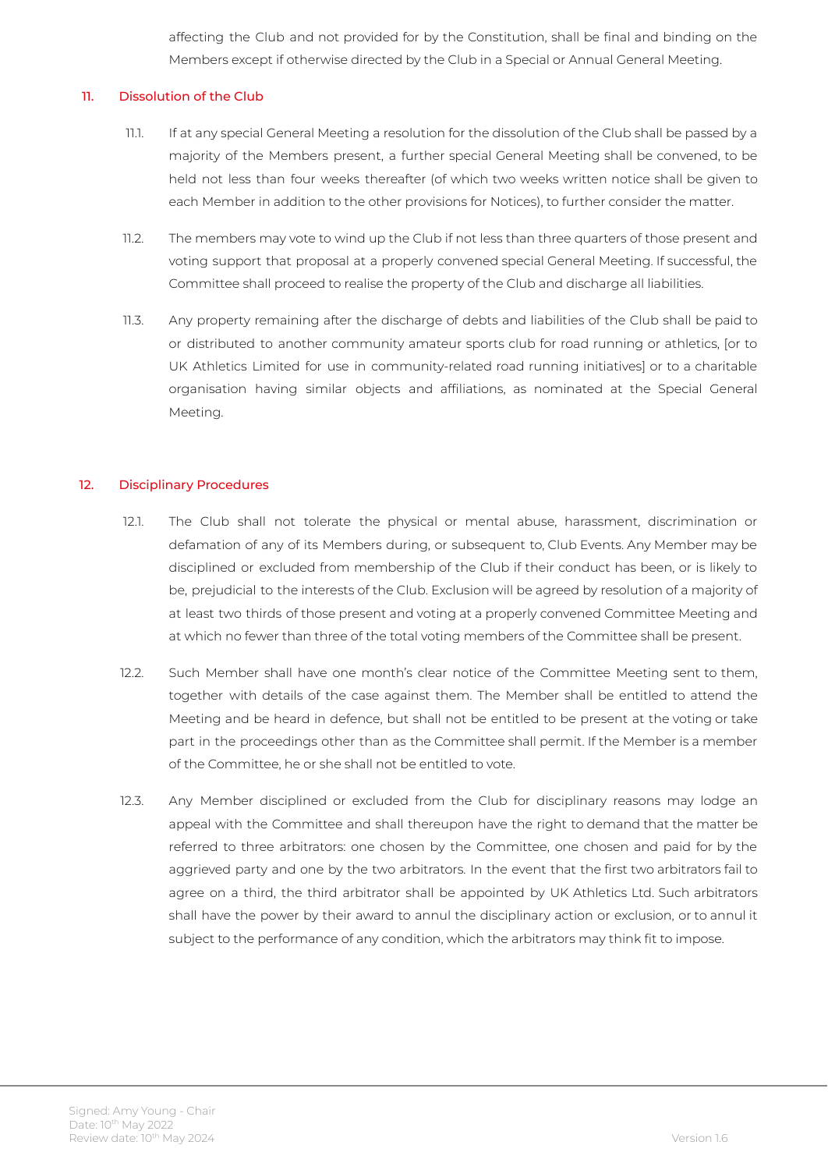affecting the Club and not provided for by the Constitution, shall be final and binding on the Members except if otherwise directed by the Club in a Special or Annual General Meeting.

#### 11. Dissolution of the Club

- 11.1. If at any special General Meeting a resolution for the dissolution of the Club shall be passed by a majority of the Members present, a further special General Meeting shall be convened, to be held not less than four weeks thereafter (of which two weeks written notice shall be given to each Member in addition to the other provisions for Notices), to further consider the matter.
- 11.2. The members may vote to wind up the Club if not less than three quarters of those present and voting support that proposal at a properly convened special General Meeting. If successful, the Committee shall proceed to realise the property of the Club and discharge all liabilities.
- 11.3. Any property remaining after the discharge of debts and liabilities of the Club shall be paid to or distributed to another community amateur sports club for road running or athletics, [or to UK Athletics Limited for use in community-related road running initiatives] or to a charitable organisation having similar objects and affiliations, as nominated at the Special General Meeting.

#### 12. Disciplinary Procedures

- 12.1. The Club shall not tolerate the physical or mental abuse, harassment, discrimination or defamation of any of its Members during, or subsequent to, Club Events. Any Member may be disciplined or excluded from membership of the Club if their conduct has been, or is likely to be, prejudicial to the interests of the Club. Exclusion will be agreed by resolution of a majority of at least two thirds of those present and voting at a properly convened Committee Meeting and at which no fewer than three of the total voting members of the Committee shall be present.
- 12.2. Such Member shall have one month's clear notice of the Committee Meeting sent to them, together with details of the case against them. The Member shall be entitled to attend the Meeting and be heard in defence, but shall not be entitled to be present at the voting or take part in the proceedings other than as the Committee shall permit. If the Member is a member of the Committee, he or she shall not be entitled to vote.
- 12.3. Any Member disciplined or excluded from the Club for disciplinary reasons may lodge an appeal with the Committee and shall thereupon have the right to demand that the matter be referred to three arbitrators: one chosen by the Committee, one chosen and paid for by the aggrieved party and one by the two arbitrators. In the event that the first two arbitrators fail to agree on a third, the third arbitrator shall be appointed by UK Athletics Ltd. Such arbitrators shall have the power by their award to annul the disciplinary action or exclusion, or to annul it subject to the performance of any condition, which the arbitrators may think fit to impose.